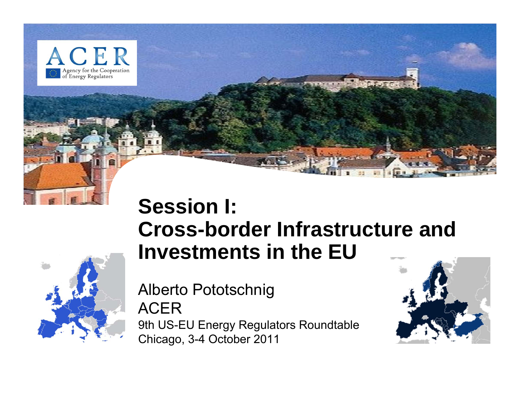

## **Session I: Cross-border Infrastructure and Investments in the EU**

Alberto Pototschnig ACER9th US-EU Energy Regulators Roundtable Chicago, 3-4 October 2011

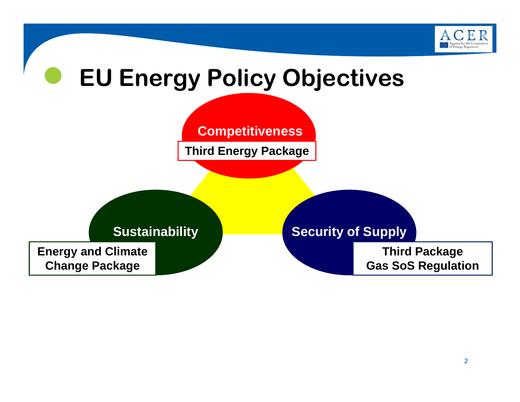

## $\bullet$  **EU Energy Policy Objectives Competitiveness Sustainability <b>Sustainability** Security of Supply **Third Energy Package Third Package Gas SoS Regulation Energy and Climate Change Package**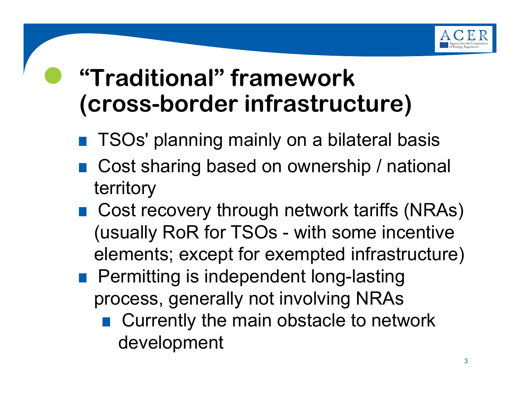

## **"Traditional" framework (cross-border infrastructure)**

 $\bullet$ 

- **TSOs' planning mainly on a bilateral basis**
- **.** Cost sharing based on ownership / national territory
- .Cost recovery through network tariffs (NRAs) (usually RoR for TSOs - with some incentive elements; except for exempted infrastructure)
- **Permitting is independent long-lasting** process, generally not involving NRAs
	- .Currently the main obstacle to network development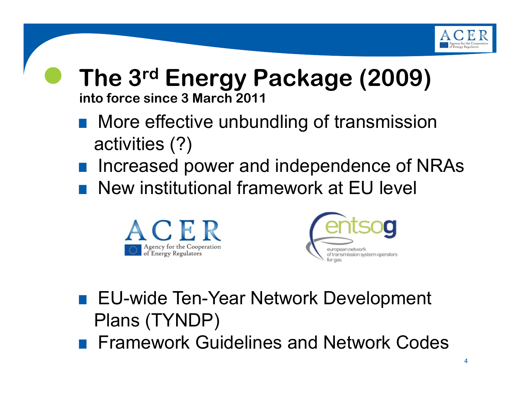

#### $\bullet$  **The 3rd Energy Package (2009) into force since 3 March 2011**

- **.** More effective unbundling of transmission activities (?)
- **.** Increased power and independence of NRAs
- .New institutional framework at EU level





- EU-wide Ten-Year Network Development Plans (TYNDP)
- **Framework Guidelines and Network Codes**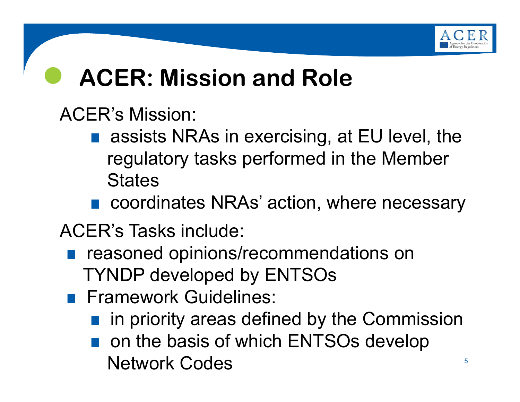

#### $\bullet$ **ACER: Mission and Role**

## ACER's Mission:

- assists NRAs in exercising, at EU level, the regulatory tasks performed in the Member **States**
- coordinates NRAs' action, where necessary

ACER's Tasks include:

- **•** reasoned opinions/recommendations on TYNDP developed by ENTSOs
- **Framework Guidelines:** 
	- **.** in priority areas defined by the Commission
	- **.** on the basis of which ENTSOs develop Network Codes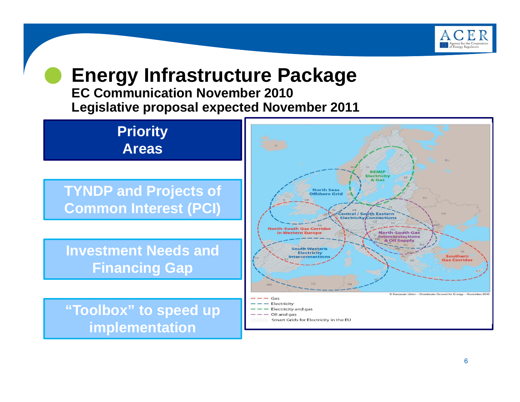

#### $\bullet$  **Energy Infrastructure Package EC Communication November 2010**

**Legislative proposal expected November 2011**

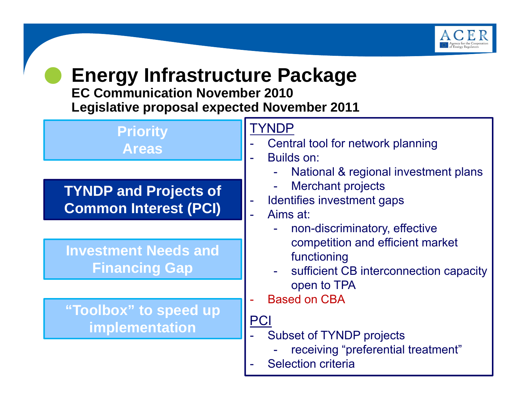

#### $\bullet$  **Energy Infrastructure Package EC Communication November 2010**

**Legislative proposal expected November 2011**

| <b>Priority</b><br><b>Areas</b>                              | TYNDP<br>Central tool for network planning<br>Builds on:                                                                                                                                                                                                                                                                                                                             |
|--------------------------------------------------------------|--------------------------------------------------------------------------------------------------------------------------------------------------------------------------------------------------------------------------------------------------------------------------------------------------------------------------------------------------------------------------------------|
| <b>TYNDP and Projects of</b><br><b>Common Interest (PCI)</b> | National & regional investment plans<br><b>Merchant projects</b><br>Identifies investment gaps<br>Aims at:<br>non-discriminatory, effective<br>competition and efficient market<br>functioning<br>sufficient CB interconnection capacity<br>open to TPA<br><b>Based on CBA</b><br>PCI<br><b>Subset of TYNDP projects</b><br>receiving "preferential treatment"<br>Selection criteria |
| <b>Investment Needs and</b><br><b>Financing Gap</b>          |                                                                                                                                                                                                                                                                                                                                                                                      |
| "Toolbox" to speed up<br>implementation                      |                                                                                                                                                                                                                                                                                                                                                                                      |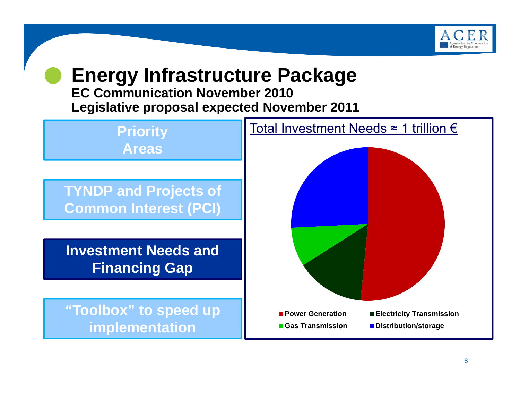

#### $\bullet$  **Energy Infrastructure Package EC Communication November 2010**

**Legislative proposal expected November 2011**

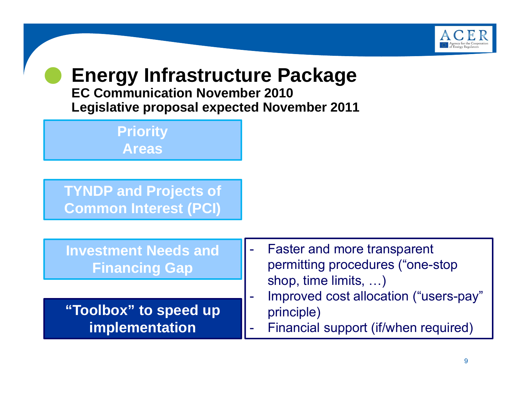

#### $\bullet$  **Energy Infrastructure Package EC Communication November 2010Legislative proposal expected November 2011**

**Priority Areas**

**TYNDP and Projects of Common Interest (PCI)**

| <b>Investment Needs and</b><br><b>Financing Gap</b> | - Faster and more transparent<br>permitting procedures ("one-stop<br>shop, time limits, )<br>Improved cost allocation ("users-pay"<br>principle)<br>- Financial support (if/when required) |
|-----------------------------------------------------|--------------------------------------------------------------------------------------------------------------------------------------------------------------------------------------------|
|                                                     |                                                                                                                                                                                            |
| "Toolbox" to speed up<br>implementation             |                                                                                                                                                                                            |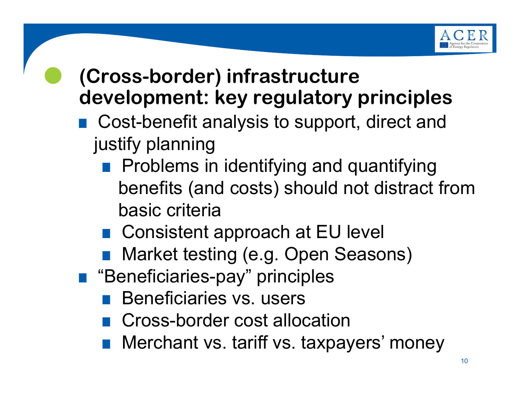

## **(Cross-border) infrastructure development: key regulatory principles**

- .Cost-benefit analysis to support, direct and justify planning
	- **Problems in identifying and quantifying** benefits (and costs) should not distract from basic criteria
	- .Consistent approach at EU level
	- Market testing (e.g. Open Seasons)
- ."Beneficiaries-pay" principles

 $\bullet$ 

- **.** Beneficiaries vs. users
- **.** Cross-border cost allocation
- Merchant vs. tariff vs. taxpayers' money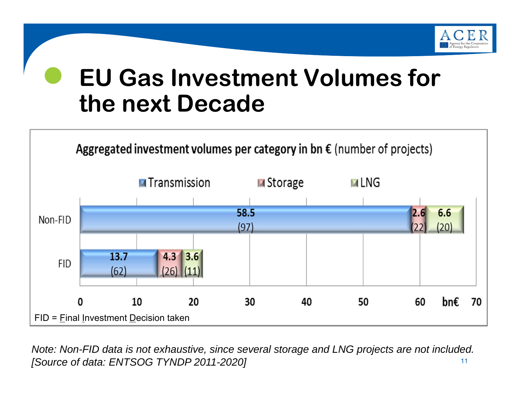

### $\bullet$  **EU Gas Investment Volumes for the next Decade**



11*Note: Non-FID data is not exhaustive, since several storage and LNG projects are not included. [Source of data: ENTSOG TYNDP 2011-2020]*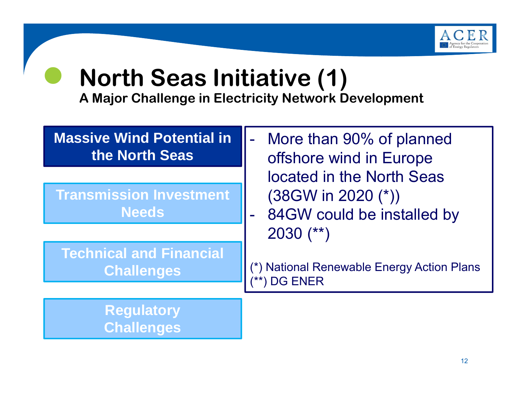

#### $\bullet$ **North Seas Initiative (1)**

| <b>Massive Wind Potential in</b><br>the North Seas | More than 90% of planned<br>offshore wind in Europe        |
|----------------------------------------------------|------------------------------------------------------------|
|                                                    | located in the North Seas                                  |
| <b>Transmission Investment</b>                     | $(38$ GW in 2020 $(*)$                                     |
| <b>Needs</b>                                       | - 84GW could be installed by                               |
|                                                    | $2030$ (**)                                                |
| <b>Technical and Financial</b>                     |                                                            |
| <b>Challenges</b>                                  | (*) National Renewable Energy Action Plans<br>(**) DG ENER |
|                                                    |                                                            |
| <b>Regulatory</b>                                  |                                                            |
| <b>Challenges</b>                                  |                                                            |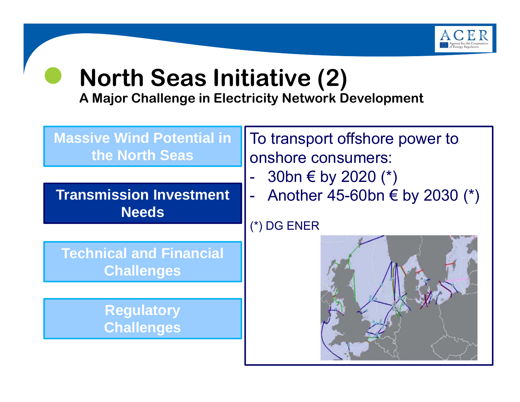

#### $\bullet$ **North Seas Initiative (2)**

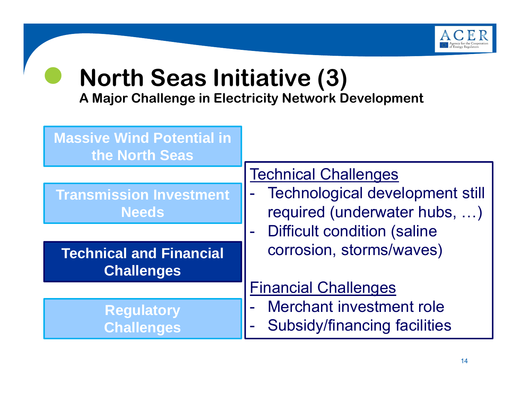

#### $\bullet$ **North Seas Initiative (3)**

| <b>Massive Wind Potential in</b><br>the North Seas  |                                                                        |
|-----------------------------------------------------|------------------------------------------------------------------------|
|                                                     | <b>Technical Challenges</b>                                            |
| <b>Transmission Investment</b><br><b>Needs</b>      | <b>Technological development still</b><br>required (underwater hubs, ) |
|                                                     | <b>Difficult condition (saline</b>                                     |
| <b>Technical and Financial</b><br><b>Challenges</b> | corrosion, storms/waves)                                               |
|                                                     | <b>Financial Challenges</b>                                            |
| <b>Regulatory</b><br><b>Challenges</b>              | Merchant investment role<br><b>Subsidy/financing facilities</b>        |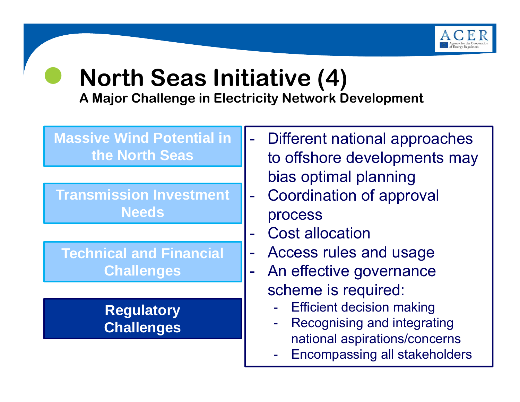

#### $\bullet$ **North Seas Initiative (4)**

| <b>Massive Wind Potential in</b><br>the North Seas | Different national approaches<br>to offshore developments may |
|----------------------------------------------------|---------------------------------------------------------------|
| <b>Transmission Investment</b><br><b>Needs</b>     | bias optimal planning<br>Coordination of approval<br>process  |
|                                                    | <b>Cost allocation</b>                                        |
| <b>Technical and Financial</b>                     | Access rules and usage                                        |
| <b>Challenges</b>                                  | An effective governance                                       |
|                                                    | scheme is required:                                           |
| <b>Regulatory</b>                                  | <b>Efficient decision making</b><br>$\blacksquare$            |
| <b>Challenges</b>                                  | Recognising and integrating<br>$\blacksquare$                 |
|                                                    | national aspirations/concerns                                 |
|                                                    | <b>Encompassing all stakeholders</b><br>$\frac{1}{2}$ .       |